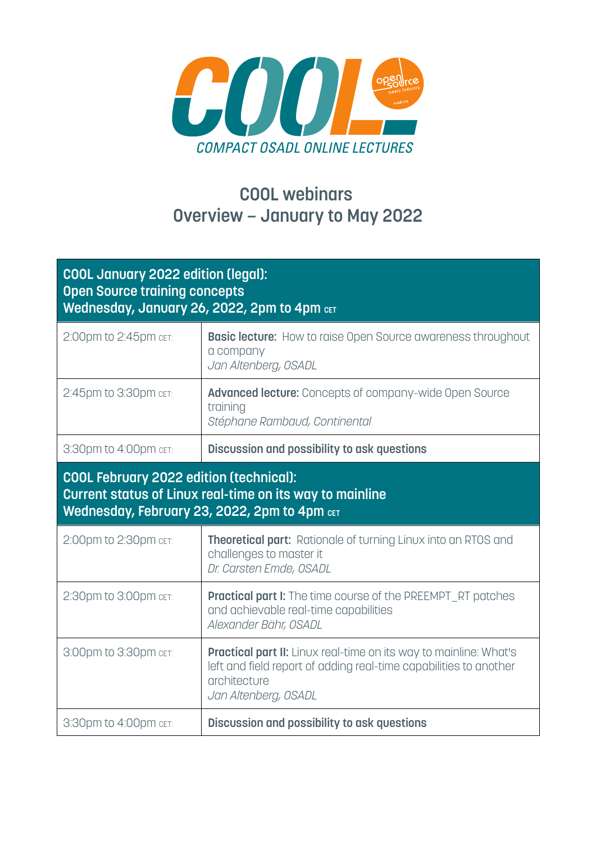

## **COOL webinars Overview – January to May 2022**

| <b>COOL January 2022 edition (legal):</b><br><b>Open Source training concepts</b><br>Wednesday, January 26, 2022, 2pm to 4pm CET                           |                                                                                                                                                                                       |  |
|------------------------------------------------------------------------------------------------------------------------------------------------------------|---------------------------------------------------------------------------------------------------------------------------------------------------------------------------------------|--|
| 2:00pm to 2:45pm cET:                                                                                                                                      | <b>Basic lecture:</b> How to raise Open Source awareness throughout<br>a company<br>Jan Altenberg, OSADL                                                                              |  |
| 2:45pm to 3:30pm cET:                                                                                                                                      | <b>Advanced lecture:</b> Concepts of company-wide Open Source<br>training<br>Stéphane Rambaud, Continental                                                                            |  |
| 3:30pm to 4:00pm CET:                                                                                                                                      | Discussion and possibility to ask questions                                                                                                                                           |  |
| <b>COOL February 2022 edition (technical):</b><br>Current status of Linux real-time on its way to mainline<br>Wednesday, February 23, 2022, 2pm to 4pm CET |                                                                                                                                                                                       |  |
| 2:00pm to 2:30pm cET:                                                                                                                                      | <b>Theoretical part:</b> Rationale of turning Linux into an RTOS and<br>challenges to master it<br>Dr. Carsten Emde, OSADL                                                            |  |
| 2:30pm to 3:00pm cET:                                                                                                                                      | <b>Practical part I:</b> The time course of the PREEMPT_RT patches<br>and achievable real-time capabilities<br>Alexander Bähr, OSADL                                                  |  |
| 3:00pm to 3:30pm cET:                                                                                                                                      | <b>Practical part II:</b> Linux real-time on its way to mainline: What's<br>left and field report of adding real-time capabilities to another<br>architecture<br>Jan Altenberg, OSADL |  |
| 3:30pm to 4:00pm cET:                                                                                                                                      | Discussion and possibility to ask questions                                                                                                                                           |  |